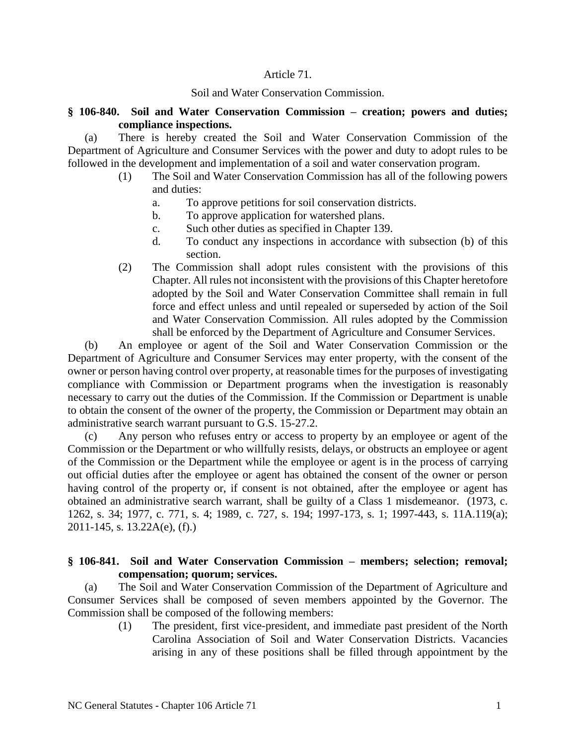### Article 71.

### Soil and Water Conservation Commission.

### **§ 106-840. Soil and Water Conservation Commission – creation; powers and duties; compliance inspections.**

(a) There is hereby created the Soil and Water Conservation Commission of the Department of Agriculture and Consumer Services with the power and duty to adopt rules to be followed in the development and implementation of a soil and water conservation program.

- (1) The Soil and Water Conservation Commission has all of the following powers and duties:
	- a. To approve petitions for soil conservation districts.
	- b. To approve application for watershed plans.
	- c. Such other duties as specified in Chapter 139.
	- d. To conduct any inspections in accordance with subsection (b) of this section.
- (2) The Commission shall adopt rules consistent with the provisions of this Chapter. All rules not inconsistent with the provisions of this Chapter heretofore adopted by the Soil and Water Conservation Committee shall remain in full force and effect unless and until repealed or superseded by action of the Soil and Water Conservation Commission. All rules adopted by the Commission shall be enforced by the Department of Agriculture and Consumer Services.

(b) An employee or agent of the Soil and Water Conservation Commission or the Department of Agriculture and Consumer Services may enter property, with the consent of the owner or person having control over property, at reasonable times for the purposes of investigating compliance with Commission or Department programs when the investigation is reasonably necessary to carry out the duties of the Commission. If the Commission or Department is unable to obtain the consent of the owner of the property, the Commission or Department may obtain an administrative search warrant pursuant to G.S. 15-27.2.

(c) Any person who refuses entry or access to property by an employee or agent of the Commission or the Department or who willfully resists, delays, or obstructs an employee or agent of the Commission or the Department while the employee or agent is in the process of carrying out official duties after the employee or agent has obtained the consent of the owner or person having control of the property or, if consent is not obtained, after the employee or agent has obtained an administrative search warrant, shall be guilty of a Class 1 misdemeanor. (1973, c. 1262, s. 34; 1977, c. 771, s. 4; 1989, c. 727, s. 194; 1997-173, s. 1; 1997-443, s. 11A.119(a); 2011-145, s. 13.22A(e), (f).)

# **§ 106-841. Soil and Water Conservation Commission – members; selection; removal; compensation; quorum; services.**

(a) The Soil and Water Conservation Commission of the Department of Agriculture and Consumer Services shall be composed of seven members appointed by the Governor. The Commission shall be composed of the following members:

> (1) The president, first vice-president, and immediate past president of the North Carolina Association of Soil and Water Conservation Districts. Vacancies arising in any of these positions shall be filled through appointment by the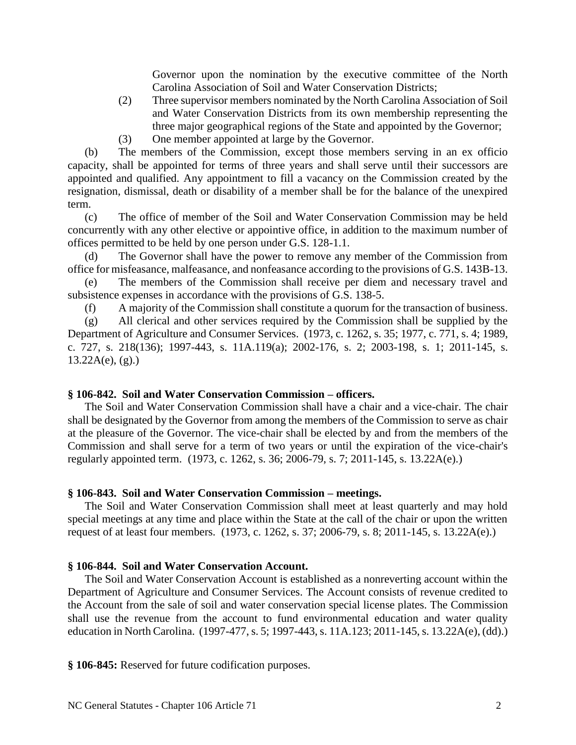Governor upon the nomination by the executive committee of the North Carolina Association of Soil and Water Conservation Districts;

- (2) Three supervisor members nominated by the North Carolina Association of Soil and Water Conservation Districts from its own membership representing the three major geographical regions of the State and appointed by the Governor;
- (3) One member appointed at large by the Governor.

(b) The members of the Commission, except those members serving in an ex officio capacity, shall be appointed for terms of three years and shall serve until their successors are appointed and qualified. Any appointment to fill a vacancy on the Commission created by the resignation, dismissal, death or disability of a member shall be for the balance of the unexpired term.

(c) The office of member of the Soil and Water Conservation Commission may be held concurrently with any other elective or appointive office, in addition to the maximum number of offices permitted to be held by one person under G.S. 128-1.1.

(d) The Governor shall have the power to remove any member of the Commission from office for misfeasance, malfeasance, and nonfeasance according to the provisions of G.S. 143B-13.

(e) The members of the Commission shall receive per diem and necessary travel and subsistence expenses in accordance with the provisions of G.S. 138-5.

(f) A majority of the Commission shall constitute a quorum for the transaction of business.

(g) All clerical and other services required by the Commission shall be supplied by the Department of Agriculture and Consumer Services. (1973, c. 1262, s. 35; 1977, c. 771, s. 4; 1989, c. 727, s. 218(136); 1997-443, s. 11A.119(a); 2002-176, s. 2; 2003-198, s. 1; 2011-145, s.  $13.22A(e)$ , (g).)

# **§ 106-842. Soil and Water Conservation Commission – officers.**

The Soil and Water Conservation Commission shall have a chair and a vice-chair. The chair shall be designated by the Governor from among the members of the Commission to serve as chair at the pleasure of the Governor. The vice-chair shall be elected by and from the members of the Commission and shall serve for a term of two years or until the expiration of the vice-chair's regularly appointed term. (1973, c. 1262, s. 36; 2006-79, s. 7; 2011-145, s. 13.22A(e).)

# **§ 106-843. Soil and Water Conservation Commission – meetings.**

The Soil and Water Conservation Commission shall meet at least quarterly and may hold special meetings at any time and place within the State at the call of the chair or upon the written request of at least four members. (1973, c. 1262, s. 37; 2006-79, s. 8; 2011-145, s. 13.22A(e).)

# **§ 106-844. Soil and Water Conservation Account.**

The Soil and Water Conservation Account is established as a nonreverting account within the Department of Agriculture and Consumer Services. The Account consists of revenue credited to the Account from the sale of soil and water conservation special license plates. The Commission shall use the revenue from the account to fund environmental education and water quality education in North Carolina. (1997-477, s. 5; 1997-443, s. 11A.123; 2011-145, s. 13.22A(e), (dd).)

**§ 106-845:** Reserved for future codification purposes.